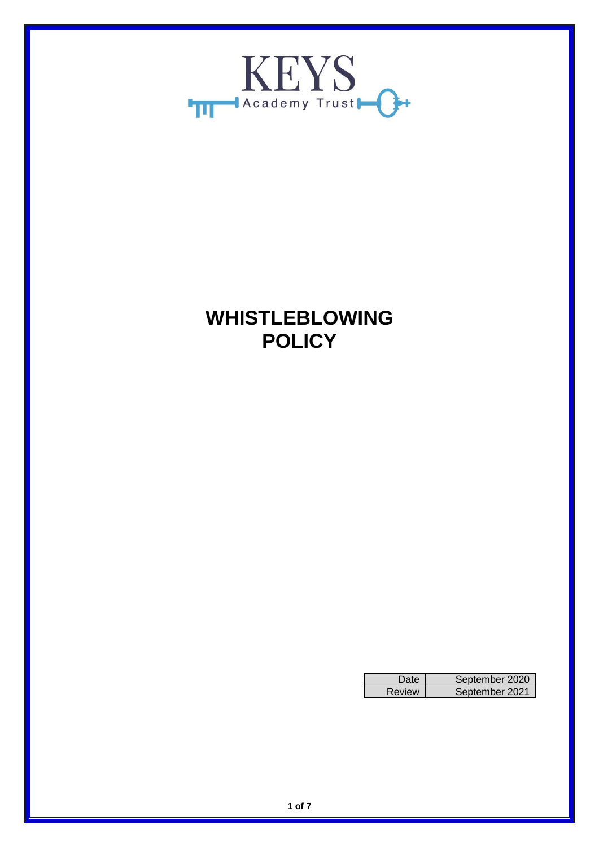

# **WHISTLEBLOWING POLICY**

| <b>Date</b> | September 2020 |
|-------------|----------------|
| Review      | September 2021 |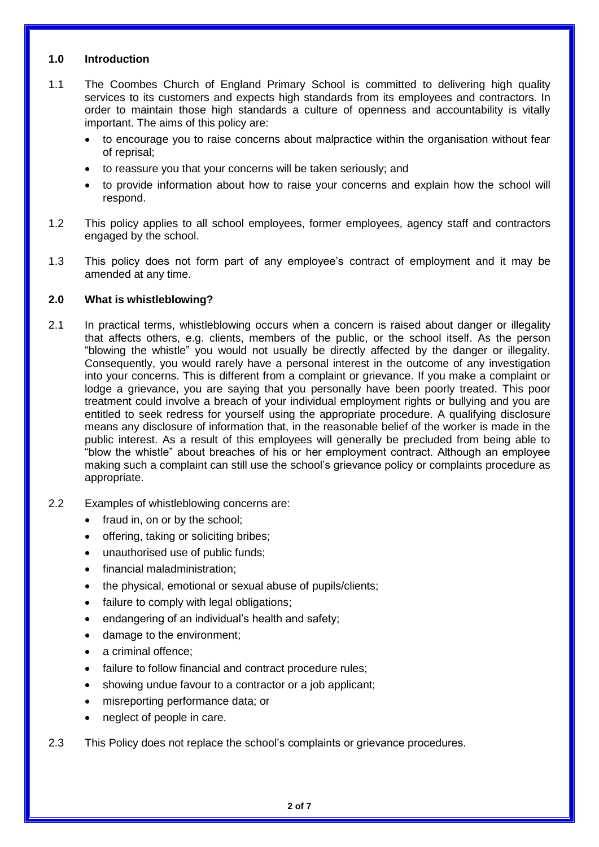## **1.0 Introduction**

- 1.1 The Coombes Church of England Primary School is committed to delivering high quality services to its customers and expects high standards from its employees and contractors. In order to maintain those high standards a culture of openness and accountability is vitally important. The aims of this policy are:
	- to encourage you to raise concerns about malpractice within the organisation without fear of reprisal;
	- to reassure you that your concerns will be taken seriously; and
	- to provide information about how to raise your concerns and explain how the school will respond.
- 1.2 This policy applies to all school employees, former employees, agency staff and contractors engaged by the school.
- 1.3 This policy does not form part of any employee's contract of employment and it may be amended at any time.

## **2.0 What is whistleblowing?**

- 2.1 In practical terms, whistleblowing occurs when a concern is raised about danger or illegality that affects others, e.g. clients, members of the public, or the school itself. As the person "blowing the whistle" you would not usually be directly affected by the danger or illegality. Consequently, you would rarely have a personal interest in the outcome of any investigation into your concerns. This is different from a complaint or grievance. If you make a complaint or lodge a grievance, you are saying that you personally have been poorly treated. This poor treatment could involve a breach of your individual employment rights or bullying and you are entitled to seek redress for yourself using the appropriate procedure. A qualifying disclosure means any disclosure of information that, in the reasonable belief of the worker is made in the public interest. As a result of this employees will generally be precluded from being able to "blow the whistle" about breaches of his or her employment contract. Although an employee making such a complaint can still use the school's grievance policy or complaints procedure as appropriate.
- 2.2 Examples of whistleblowing concerns are:
	- fraud in, on or by the school;
	- offering, taking or soliciting bribes;
	- unauthorised use of public funds;
	- financial maladministration;
	- the physical, emotional or sexual abuse of pupils/clients;
	- failure to comply with legal obligations:
	- endangering of an individual's health and safety;
	- damage to the environment;
	- a criminal offence;
	- failure to follow financial and contract procedure rules;
	- showing undue favour to a contractor or a job applicant;
	- misreporting performance data; or
	- neglect of people in care.
- 2.3 This Policy does not replace the school's complaints or grievance procedures.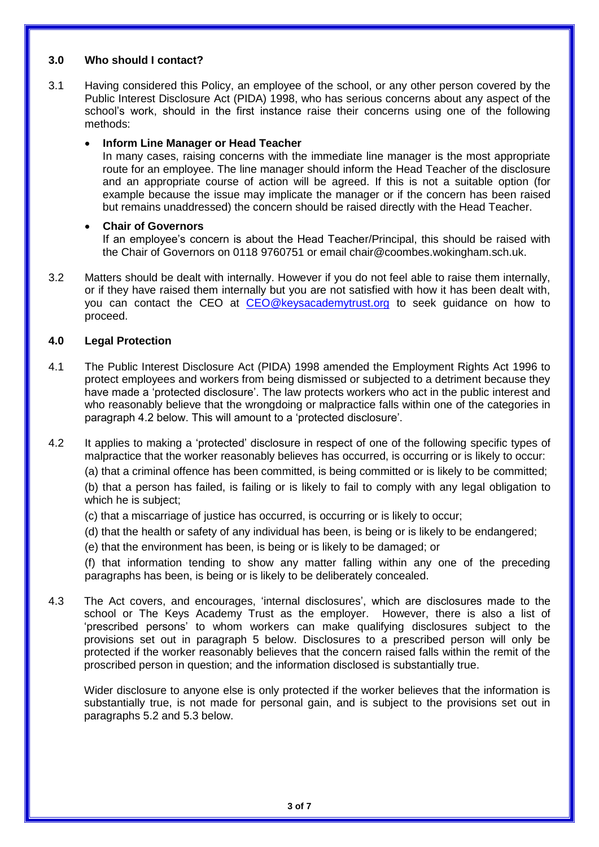#### **3.0 Who should I contact?**

3.1 Having considered this Policy, an employee of the school, or any other person covered by the Public Interest Disclosure Act (PIDA) 1998, who has serious concerns about any aspect of the school's work, should in the first instance raise their concerns using one of the following methods:

#### **Inform Line Manager or Head Teacher**

In many cases, raising concerns with the immediate line manager is the most appropriate route for an employee. The line manager should inform the Head Teacher of the disclosure and an appropriate course of action will be agreed. If this is not a suitable option (for example because the issue may implicate the manager or if the concern has been raised but remains unaddressed) the concern should be raised directly with the Head Teacher.

## **Chair of Governors**

If an employee's concern is about the Head Teacher/Principal, this should be raised with the Chair of Governors on 0118 9760751 or email chair@coombes.wokingham.sch.uk.

3.2 Matters should be dealt with internally. However if you do not feel able to raise them internally, or if they have raised them internally but you are not satisfied with how it has been dealt with, you can contact the CEO at [CEO@keysacademytrust.org](mailto:CEO@keysacademytrust.org) to seek guidance on how to proceed.

#### **4.0 Legal Protection**

- 4.1 The Public Interest Disclosure Act (PIDA) 1998 amended the Employment Rights Act 1996 to protect employees and workers from being dismissed or subjected to a detriment because they have made a 'protected disclosure'. The law protects workers who act in the public interest and who reasonably believe that the wrongdoing or malpractice falls within one of the categories in paragraph 4.2 below. This will amount to a 'protected disclosure'.
- 4.2 It applies to making a 'protected' disclosure in respect of one of the following specific types of malpractice that the worker reasonably believes has occurred, is occurring or is likely to occur:

(a) that a criminal offence has been committed, is being committed or is likely to be committed;

(b) that a person has failed, is failing or is likely to fail to comply with any legal obligation to which he is subject;

- (c) that a miscarriage of justice has occurred, is occurring or is likely to occur;
- (d) that the health or safety of any individual has been, is being or is likely to be endangered;
- (e) that the environment has been, is being or is likely to be damaged; or

(f) that information tending to show any matter falling within any one of the preceding paragraphs has been, is being or is likely to be deliberately concealed.

4.3 The Act covers, and encourages, 'internal disclosures', which are disclosures made to the school or The Keys Academy Trust as the employer. However, there is also a list of 'prescribed persons' to whom workers can make qualifying disclosures subject to the provisions set out in paragraph 5 below. Disclosures to a prescribed person will only be protected if the worker reasonably believes that the concern raised falls within the remit of the proscribed person in question; and the information disclosed is substantially true.

Wider disclosure to anyone else is only protected if the worker believes that the information is substantially true, is not made for personal gain, and is subject to the provisions set out in paragraphs 5.2 and 5.3 below.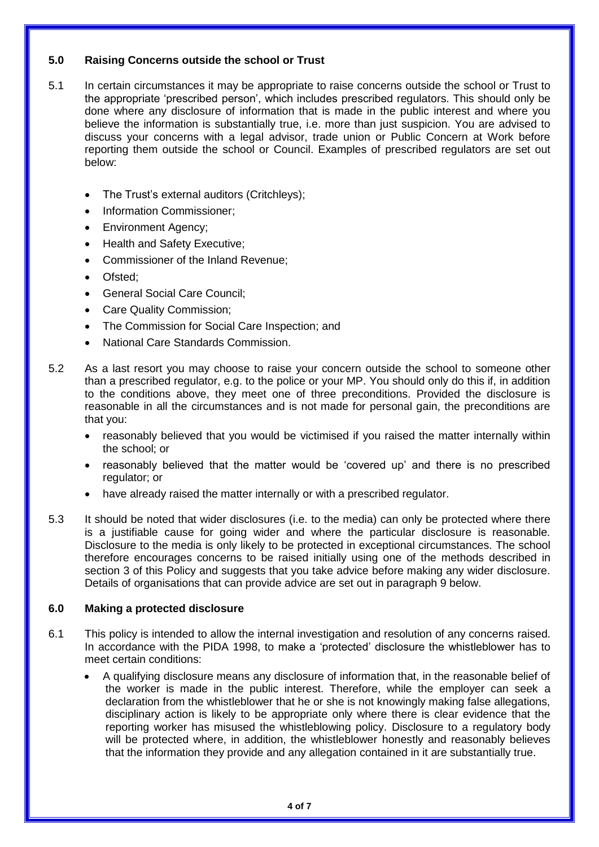# **5.0 Raising Concerns outside the school or Trust**

- 5.1 In certain circumstances it may be appropriate to raise concerns outside the school or Trust to the appropriate 'prescribed person', which includes prescribed regulators. This should only be done where any disclosure of information that is made in the public interest and where you believe the information is substantially true, i.e. more than just suspicion. You are advised to discuss your concerns with a legal advisor, trade union or Public Concern at Work before reporting them outside the school or Council. Examples of prescribed regulators are set out below:
	- The Trust's external auditors (Critchleys);
	- Information Commissioner;
	- Environment Agency;
	- Health and Safety Executive;
	- Commissioner of the Inland Revenue;
	- Ofsted;
	- General Social Care Council;
	- Care Quality Commission;
	- The Commission for Social Care Inspection; and
	- National Care Standards Commission.
- 5.2 As a last resort you may choose to raise your concern outside the school to someone other than a prescribed regulator, e.g. to the police or your MP. You should only do this if, in addition to the conditions above, they meet one of three preconditions. Provided the disclosure is reasonable in all the circumstances and is not made for personal gain, the preconditions are that you:
	- reasonably believed that you would be victimised if you raised the matter internally within the school; or
	- reasonably believed that the matter would be 'covered up' and there is no prescribed regulator; or
	- have already raised the matter internally or with a prescribed regulator.
- 5.3 It should be noted that wider disclosures (i.e. to the media) can only be protected where there is a justifiable cause for going wider and where the particular disclosure is reasonable. Disclosure to the media is only likely to be protected in exceptional circumstances. The school therefore encourages concerns to be raised initially using one of the methods described in section 3 of this Policy and suggests that you take advice before making any wider disclosure. Details of organisations that can provide advice are set out in paragraph 9 below.

## **6.0 Making a protected disclosure**

- 6.1 This policy is intended to allow the internal investigation and resolution of any concerns raised. In accordance with the PIDA 1998, to make a 'protected' disclosure the whistleblower has to meet certain conditions:
	- A qualifying disclosure means any disclosure of information that, in the reasonable belief of the worker is made in the public interest. Therefore, while the employer can seek a declaration from the whistleblower that he or she is not knowingly making false allegations, disciplinary action is likely to be appropriate only where there is clear evidence that the reporting worker has misused the whistleblowing policy. Disclosure to a regulatory body will be protected where, in addition, the whistleblower honestly and reasonably believes that the information they provide and any allegation contained in it are substantially true.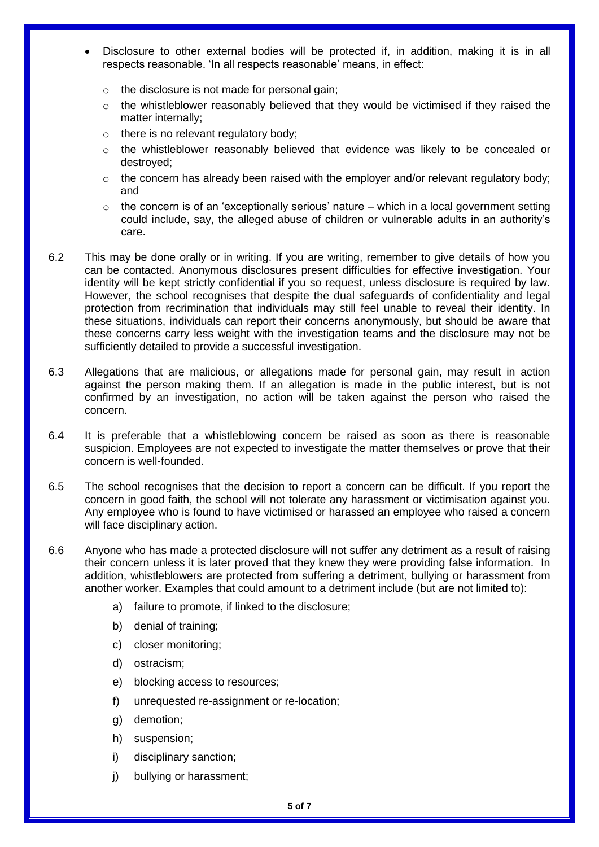- Disclosure to other external bodies will be protected if, in addition, making it is in all respects reasonable. 'In all respects reasonable' means, in effect:
	- o the disclosure is not made for personal gain;
	- o the whistleblower reasonably believed that they would be victimised if they raised the matter internally;
	- o there is no relevant regulatory body;
	- $\circ$  the whistleblower reasonably believed that evidence was likely to be concealed or destroyed;
	- $\circ$  the concern has already been raised with the employer and/or relevant requiatory body; and
	- $\circ$  the concern is of an 'exceptionally serious' nature which in a local government setting could include, say, the alleged abuse of children or vulnerable adults in an authority's care.
- 6.2 This may be done orally or in writing. If you are writing, remember to give details of how you can be contacted. Anonymous disclosures present difficulties for effective investigation. Your identity will be kept strictly confidential if you so request, unless disclosure is required by law. However, the school recognises that despite the dual safeguards of confidentiality and legal protection from recrimination that individuals may still feel unable to reveal their identity. In these situations, individuals can report their concerns anonymously, but should be aware that these concerns carry less weight with the investigation teams and the disclosure may not be sufficiently detailed to provide a successful investigation.
- 6.3 Allegations that are malicious, or allegations made for personal gain, may result in action against the person making them. If an allegation is made in the public interest, but is not confirmed by an investigation, no action will be taken against the person who raised the concern.
- 6.4 It is preferable that a whistleblowing concern be raised as soon as there is reasonable suspicion. Employees are not expected to investigate the matter themselves or prove that their concern is well-founded.
- 6.5 The school recognises that the decision to report a concern can be difficult. If you report the concern in good faith, the school will not tolerate any harassment or victimisation against you. Any employee who is found to have victimised or harassed an employee who raised a concern will face disciplinary action.
- 6.6 Anyone who has made a protected disclosure will not suffer any detriment as a result of raising their concern unless it is later proved that they knew they were providing false information. In addition, whistleblowers are protected from suffering a detriment, bullying or harassment from another worker. Examples that could amount to a detriment include (but are not limited to):
	- a) failure to promote, if linked to the disclosure;
	- b) denial of training;
	- c) closer monitoring;
	- d) ostracism;
	- e) blocking access to resources;
	- f) unrequested re-assignment or re-location;
	- g) demotion;
	- h) suspension;
	- i) disciplinary sanction;
	- j) bullying or harassment;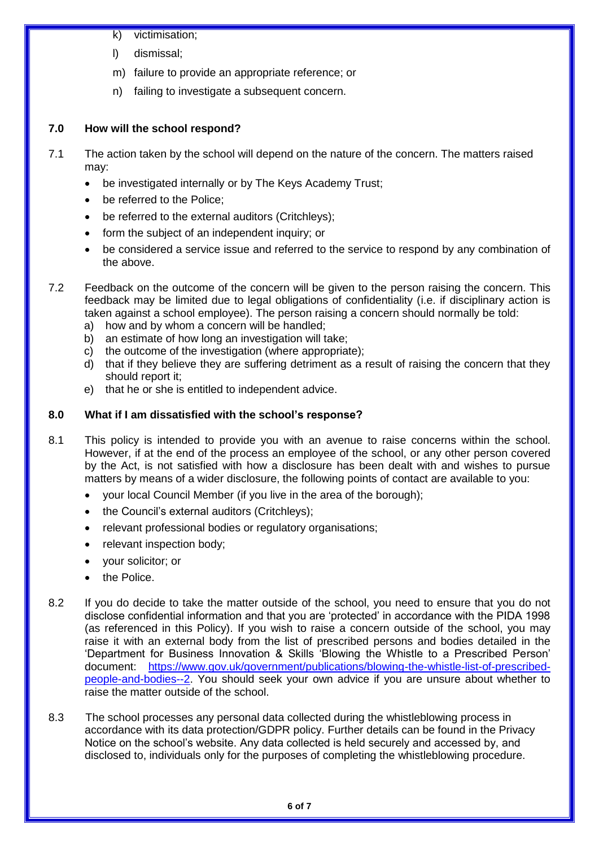- k) victimisation;
- l) dismissal;
- m) failure to provide an appropriate reference; or
- n) failing to investigate a subsequent concern.

# **7.0 How will the school respond?**

- 7.1 The action taken by the school will depend on the nature of the concern. The matters raised may:
	- be investigated internally or by The Keys Academy Trust;
	- be referred to the Police;
	- be referred to the external auditors (Critchleys);
	- form the subject of an independent inquiry; or
	- be considered a service issue and referred to the service to respond by any combination of the above.
- 7.2 Feedback on the outcome of the concern will be given to the person raising the concern. This feedback may be limited due to legal obligations of confidentiality (i.e. if disciplinary action is taken against a school employee). The person raising a concern should normally be told:
	- a) how and by whom a concern will be handled;
	- b) an estimate of how long an investigation will take;
	- c) the outcome of the investigation (where appropriate);
	- d) that if they believe they are suffering detriment as a result of raising the concern that they should report it;
	- e) that he or she is entitled to independent advice.

# **8.0 What if I am dissatisfied with the school's response?**

- 8.1 This policy is intended to provide you with an avenue to raise concerns within the school. However, if at the end of the process an employee of the school, or any other person covered by the Act, is not satisfied with how a disclosure has been dealt with and wishes to pursue matters by means of a wider disclosure, the following points of contact are available to you:
	- your local Council Member (if you live in the area of the borough);
	- the Council's external auditors (Critchleys);
	- relevant professional bodies or regulatory organisations;
	- relevant inspection body;
	- your solicitor; or
	- the Police.
- 8.2 If you do decide to take the matter outside of the school, you need to ensure that you do not disclose confidential information and that you are 'protected' in accordance with the PIDA 1998 (as referenced in this Policy). If you wish to raise a concern outside of the school, you may raise it with an external body from the list of prescribed persons and bodies detailed in the 'Department for Business Innovation & Skills 'Blowing the Whistle to a Prescribed Person' document: [https://www.gov.uk/government/publications/blowing-the-whistle-list-of-prescribed](https://www.gov.uk/government/publications/blowing-the-whistle-list-of-prescribed-people-and-bodies--2)[people-and-bodies--2.](https://www.gov.uk/government/publications/blowing-the-whistle-list-of-prescribed-people-and-bodies--2) You should seek your own advice if you are unsure about whether to raise the matter outside of the school.
- 8.3 The school processes any personal data collected during the whistleblowing process in accordance with its data protection/GDPR policy. Further details can be found in the Privacy Notice on the school's website. Any data collected is held securely and accessed by, and disclosed to, individuals only for the purposes of completing the whistleblowing procedure.